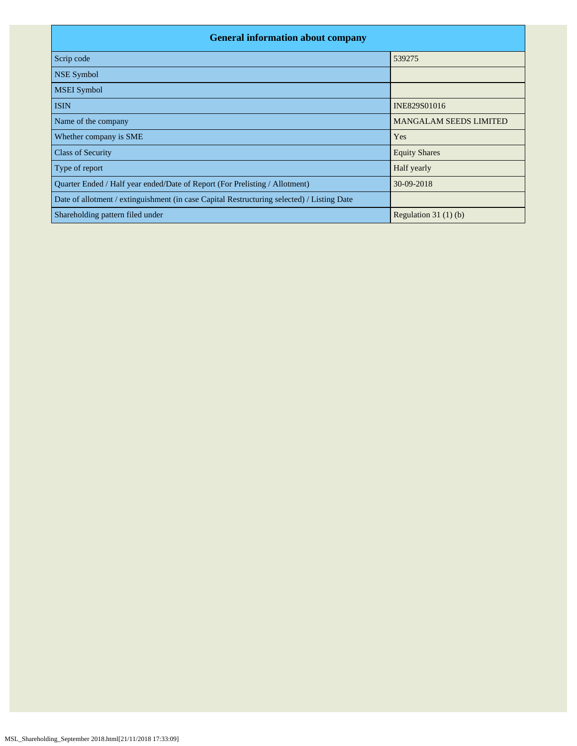| <b>General information about company</b>                                                   |                               |  |  |  |  |  |  |  |  |
|--------------------------------------------------------------------------------------------|-------------------------------|--|--|--|--|--|--|--|--|
| Scrip code                                                                                 | 539275                        |  |  |  |  |  |  |  |  |
| <b>NSE Symbol</b>                                                                          |                               |  |  |  |  |  |  |  |  |
| <b>MSEI</b> Symbol                                                                         |                               |  |  |  |  |  |  |  |  |
| <b>ISIN</b>                                                                                | INE829S01016                  |  |  |  |  |  |  |  |  |
| Name of the company                                                                        | <b>MANGALAM SEEDS LIMITED</b> |  |  |  |  |  |  |  |  |
| Whether company is SME                                                                     | Yes                           |  |  |  |  |  |  |  |  |
| <b>Class of Security</b>                                                                   | <b>Equity Shares</b>          |  |  |  |  |  |  |  |  |
| Type of report                                                                             | Half yearly                   |  |  |  |  |  |  |  |  |
| Quarter Ended / Half year ended/Date of Report (For Prelisting / Allotment)                | 30-09-2018                    |  |  |  |  |  |  |  |  |
| Date of allotment / extinguishment (in case Capital Restructuring selected) / Listing Date |                               |  |  |  |  |  |  |  |  |
| Shareholding pattern filed under                                                           | Regulation 31 $(1)(b)$        |  |  |  |  |  |  |  |  |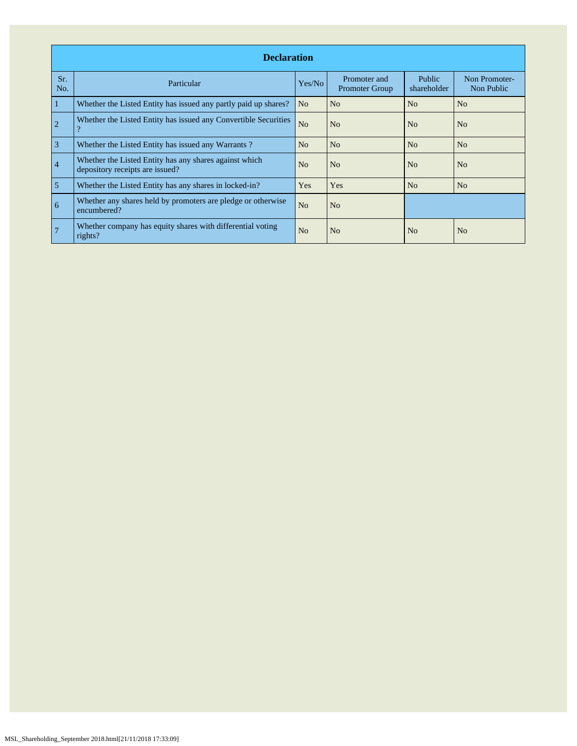|                | <b>Declaration</b>                                                                        |                |                                |                              |                             |  |  |  |  |  |  |  |
|----------------|-------------------------------------------------------------------------------------------|----------------|--------------------------------|------------------------------|-----------------------------|--|--|--|--|--|--|--|
| Sr.<br>No.     | Particular                                                                                | Yes/No         | Promoter and<br>Promoter Group | <b>Public</b><br>shareholder | Non Promoter-<br>Non Public |  |  |  |  |  |  |  |
| 1              | Whether the Listed Entity has issued any partly paid up shares?                           | N <sub>o</sub> | N <sub>o</sub>                 | No                           | No                          |  |  |  |  |  |  |  |
| $\overline{2}$ | Whether the Listed Entity has issued any Convertible Securities<br>റ                      | N <sub>o</sub> | N <sub>o</sub>                 | N <sub>o</sub>               | N <sub>o</sub>              |  |  |  |  |  |  |  |
| $\overline{3}$ | Whether the Listed Entity has issued any Warrants?                                        | No             | N <sub>o</sub>                 | N <sub>o</sub>               | N <sub>o</sub>              |  |  |  |  |  |  |  |
| $\overline{4}$ | Whether the Listed Entity has any shares against which<br>depository receipts are issued? | N <sub>o</sub> | N <sub>0</sub>                 | N <sub>0</sub>               | N <sub>0</sub>              |  |  |  |  |  |  |  |
| $\overline{5}$ | Whether the Listed Entity has any shares in locked-in?                                    | Yes            | Yes                            | No                           | N <sub>o</sub>              |  |  |  |  |  |  |  |
| 6              | Whether any shares held by promoters are pledge or otherwise<br>encumbered?               | N <sub>o</sub> | N <sub>o</sub>                 |                              |                             |  |  |  |  |  |  |  |
|                | Whether company has equity shares with differential voting<br>rights?                     | N <sub>o</sub> | N <sub>o</sub>                 | N <sub>0</sub>               | N <sub>o</sub>              |  |  |  |  |  |  |  |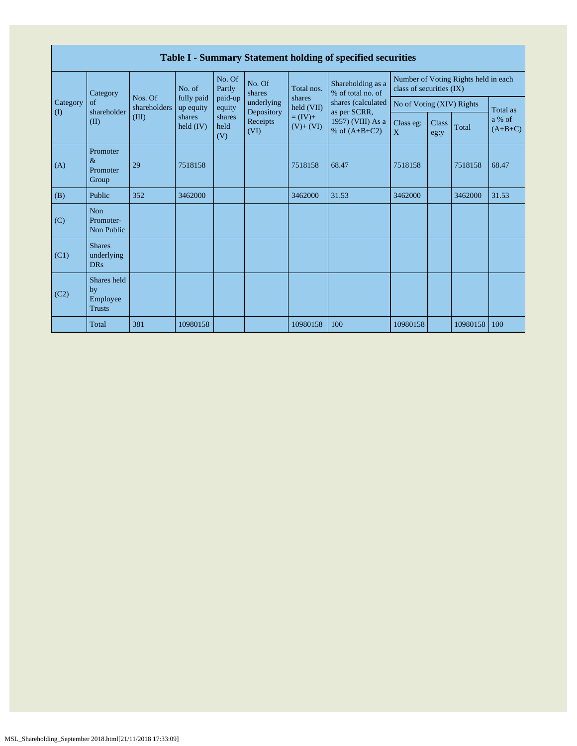|                 | Table I - Summary Statement holding of specified securities |                         |                                                            |                       |                          |                          |                                                                            |                                                                  |               |          |                     |  |  |
|-----------------|-------------------------------------------------------------|-------------------------|------------------------------------------------------------|-----------------------|--------------------------|--------------------------|----------------------------------------------------------------------------|------------------------------------------------------------------|---------------|----------|---------------------|--|--|
|                 | Category                                                    |                         | No. of<br>fully paid<br>up equity<br>shares<br>held $(IV)$ | No. Of<br>Partly      | No. Of<br>shares         | Total nos.               | Shareholding as a<br>% of total no. of                                     | Number of Voting Rights held in each<br>class of securities (IX) |               |          |                     |  |  |
| Category<br>(I) | of<br>shareholder                                           | Nos. Of<br>shareholders |                                                            | paid-up<br>equity     | underlying<br>Depository | shares<br>held (VII)     | shares (calculated<br>as per SCRR,<br>1957) (VIII) As a<br>% of $(A+B+C2)$ | No of Voting (XIV) Rights                                        |               | Total as |                     |  |  |
|                 | (II)                                                        | (III)                   |                                                            | shares<br>held<br>(V) | Receipts<br>(VI)         | $= (IV) +$<br>$(V)+(VI)$ |                                                                            | Class eg:<br>X                                                   | Class<br>eg:y | Total    | a % of<br>$(A+B+C)$ |  |  |
| (A)             | Promoter<br>$\&$<br>Promoter<br>Group                       | 29                      | 7518158                                                    |                       |                          | 7518158                  | 68.47                                                                      | 7518158                                                          |               | 7518158  | 68.47               |  |  |
| (B)             | Public                                                      | 352                     | 3462000                                                    |                       |                          | 3462000                  | 31.53                                                                      | 3462000                                                          |               | 3462000  | 31.53               |  |  |
| (C)             | Non<br>Promoter-<br>Non Public                              |                         |                                                            |                       |                          |                          |                                                                            |                                                                  |               |          |                     |  |  |
| (C1)            | <b>Shares</b><br>underlying<br><b>DRs</b>                   |                         |                                                            |                       |                          |                          |                                                                            |                                                                  |               |          |                     |  |  |
| (C2)            | Shares held<br>by<br>Employee<br><b>Trusts</b>              |                         |                                                            |                       |                          |                          |                                                                            |                                                                  |               |          |                     |  |  |
|                 | Total                                                       | 381                     | 10980158                                                   |                       |                          | 10980158                 | 100                                                                        | 10980158                                                         |               | 10980158 | 100                 |  |  |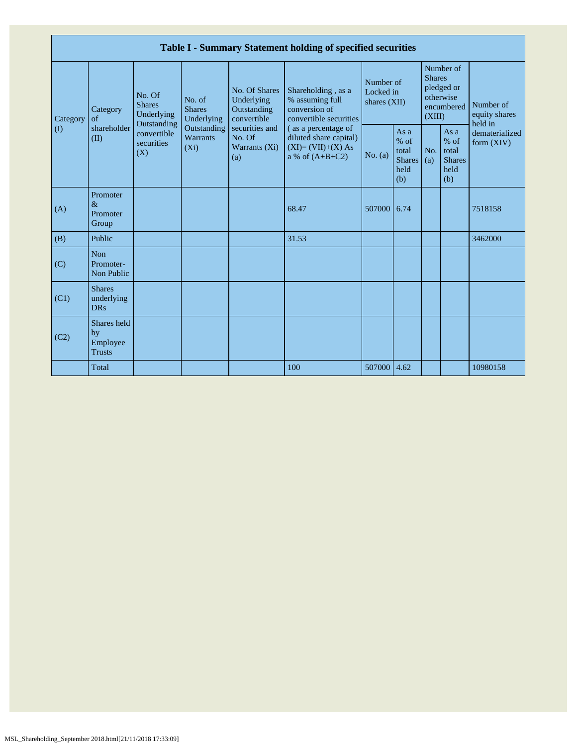| Table I - Summary Statement holding of specified securities |                                                |                                                                                          |                                                                             |                                                                                                               |                                                                                                                                                                               |                                        |                                                           |                         |                                                         |                                                                         |  |  |
|-------------------------------------------------------------|------------------------------------------------|------------------------------------------------------------------------------------------|-----------------------------------------------------------------------------|---------------------------------------------------------------------------------------------------------------|-------------------------------------------------------------------------------------------------------------------------------------------------------------------------------|----------------------------------------|-----------------------------------------------------------|-------------------------|---------------------------------------------------------|-------------------------------------------------------------------------|--|--|
| Category<br>$\left( \mathrm{I}\right)$                      | Category<br>of<br>shareholder<br>(II)          | No. Of<br><b>Shares</b><br>Underlying<br>Outstanding<br>convertible<br>securities<br>(X) | No. of<br><b>Shares</b><br>Underlying<br>Outstanding<br>Warrants<br>$(X_i)$ | No. Of Shares<br>Underlying<br>Outstanding<br>convertible<br>securities and<br>No. Of<br>Warrants (Xi)<br>(a) | Shareholding, as a<br>% assuming full<br>conversion of<br>convertible securities<br>(as a percentage of<br>diluted share capital)<br>$(XI)=(VII)+(X) As$<br>a % of $(A+B+C2)$ | Number of<br>Locked in<br>shares (XII) |                                                           | <b>Shares</b><br>(XIII) | Number of<br>pledged or<br>otherwise<br>encumbered      | Number of<br>equity shares<br>held in<br>dematerialized<br>form $(XIV)$ |  |  |
|                                                             |                                                |                                                                                          |                                                                             |                                                                                                               |                                                                                                                                                                               | No. (a)                                | As $a$<br>$%$ of<br>total<br><b>Shares</b><br>held<br>(b) | No.<br>(a)              | As a<br>$%$ of<br>total<br><b>Shares</b><br>held<br>(b) |                                                                         |  |  |
| (A)                                                         | Promoter<br>$\&$<br>Promoter<br>Group          |                                                                                          |                                                                             |                                                                                                               | 68.47                                                                                                                                                                         | 507000                                 | 6.74                                                      |                         |                                                         | 7518158                                                                 |  |  |
| (B)                                                         | Public                                         |                                                                                          |                                                                             |                                                                                                               | 31.53                                                                                                                                                                         |                                        |                                                           |                         |                                                         | 3462000                                                                 |  |  |
| (C)                                                         | <b>Non</b><br>Promoter-<br>Non Public          |                                                                                          |                                                                             |                                                                                                               |                                                                                                                                                                               |                                        |                                                           |                         |                                                         |                                                                         |  |  |
| (C1)                                                        | <b>Shares</b><br>underlying<br><b>DRs</b>      |                                                                                          |                                                                             |                                                                                                               |                                                                                                                                                                               |                                        |                                                           |                         |                                                         |                                                                         |  |  |
| (C2)                                                        | Shares held<br>by<br>Employee<br><b>Trusts</b> |                                                                                          |                                                                             |                                                                                                               |                                                                                                                                                                               |                                        |                                                           |                         |                                                         |                                                                         |  |  |
|                                                             | Total                                          |                                                                                          |                                                                             |                                                                                                               | 100                                                                                                                                                                           | 507000                                 | 4.62                                                      |                         |                                                         | 10980158                                                                |  |  |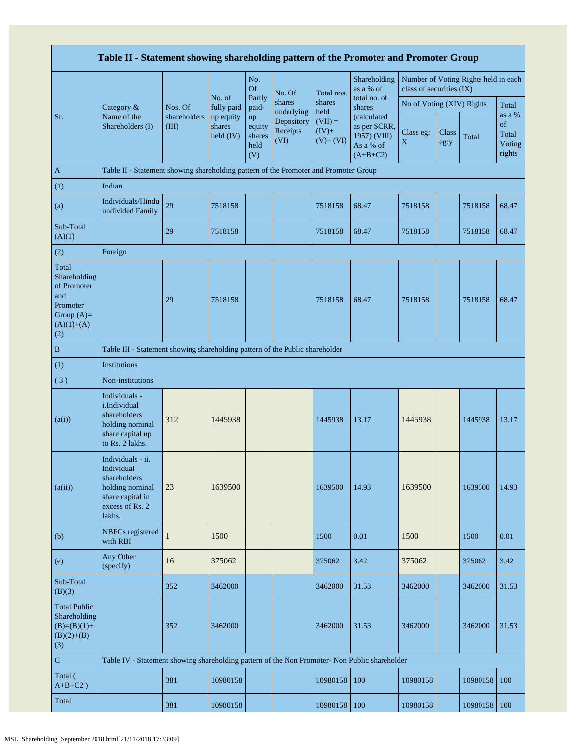|                                                                                                | Table II - Statement showing shareholding pattern of the Promoter and Promoter Group                                |                       |                                  |                                       |                                              |                                                |                                                                        |                           |               |                                      |                                           |
|------------------------------------------------------------------------------------------------|---------------------------------------------------------------------------------------------------------------------|-----------------------|----------------------------------|---------------------------------------|----------------------------------------------|------------------------------------------------|------------------------------------------------------------------------|---------------------------|---------------|--------------------------------------|-------------------------------------------|
|                                                                                                |                                                                                                                     |                       |                                  | No.<br><b>Of</b>                      | No. Of                                       | Total nos.                                     | Shareholding<br>as a % of                                              | class of securities (IX)  |               | Number of Voting Rights held in each |                                           |
|                                                                                                | Category $\&$                                                                                                       | Nos. Of               | No. of<br>fully paid             | Partly<br>paid-                       | shares                                       | shares                                         | total no. of<br>shares                                                 | No of Voting (XIV) Rights |               |                                      | Total                                     |
| Sr.                                                                                            | Name of the<br>Shareholders (I)                                                                                     | shareholders<br>(III) | up equity<br>shares<br>held (IV) | up<br>equity<br>shares<br>held<br>(V) | underlying<br>Depository<br>Receipts<br>(VI) | held<br>$(VII) =$<br>$(IV)+$<br>$(V)$ + $(VI)$ | (calculated<br>as per SCRR,<br>1957) (VIII)<br>As a % of<br>$(A+B+C2)$ | Class eg:<br>X            | Class<br>eg:y | Total                                | as a %<br>of<br>Total<br>Voting<br>rights |
| $\mathbf{A}$                                                                                   | Table II - Statement showing shareholding pattern of the Promoter and Promoter Group                                |                       |                                  |                                       |                                              |                                                |                                                                        |                           |               |                                      |                                           |
| (1)                                                                                            | Indian                                                                                                              |                       |                                  |                                       |                                              |                                                |                                                                        |                           |               |                                      |                                           |
| (a)                                                                                            | Individuals/Hindu<br>undivided Family                                                                               | 29                    | 7518158                          |                                       |                                              | 7518158                                        | 68.47                                                                  | 7518158                   |               | 7518158                              | 68.47                                     |
| Sub-Total<br>(A)(1)                                                                            |                                                                                                                     | 29                    | 7518158                          |                                       |                                              | 7518158                                        | 68.47                                                                  | 7518158                   |               | 7518158                              | 68.47                                     |
| (2)                                                                                            | Foreign                                                                                                             |                       |                                  |                                       |                                              |                                                |                                                                        |                           |               |                                      |                                           |
| Total<br>Shareholding<br>of Promoter<br>and<br>Promoter<br>Group $(A)=$<br>$(A)(1)+(A)$<br>(2) |                                                                                                                     | 29                    | 7518158                          |                                       |                                              | 7518158                                        | 68.47                                                                  | 7518158                   |               | 7518158                              | 68.47                                     |
| $\, {\bf B}$                                                                                   | Table III - Statement showing shareholding pattern of the Public shareholder                                        |                       |                                  |                                       |                                              |                                                |                                                                        |                           |               |                                      |                                           |
| (1)                                                                                            | Institutions                                                                                                        |                       |                                  |                                       |                                              |                                                |                                                                        |                           |               |                                      |                                           |
| (3)                                                                                            | Non-institutions                                                                                                    |                       |                                  |                                       |                                              |                                                |                                                                        |                           |               |                                      |                                           |
| (a(i))                                                                                         | Individuals -<br>i.Individual<br>shareholders<br>holding nominal<br>share capital up<br>to Rs. 2 lakhs.             | 312                   | 1445938                          |                                       |                                              | 1445938                                        | 13.17                                                                  | 1445938                   |               | 1445938                              | 13.17                                     |
| (a(ii))                                                                                        | Individuals - ii.<br>Individual<br>shareholders<br>holding nominal<br>share capital in<br>excess of Rs. 2<br>lakhs. | 23                    | 1639500                          |                                       |                                              | 1639500                                        | 14.93                                                                  | 1639500                   |               | 1639500                              | 14.93                                     |
| (b)                                                                                            | NBFCs registered<br>with RBI                                                                                        | $\mathbf{1}$          | 1500                             |                                       |                                              | 1500                                           | 0.01                                                                   | 1500                      |               | 1500                                 | 0.01                                      |
| (e)                                                                                            | Any Other<br>(specify)                                                                                              | 16                    | 375062                           |                                       |                                              | 375062                                         | 3.42                                                                   | 375062                    |               | 375062                               | 3.42                                      |
| Sub-Total<br>(B)(3)                                                                            |                                                                                                                     | 352                   | 3462000                          |                                       |                                              | 3462000                                        | 31.53                                                                  | 3462000                   |               | 3462000                              | 31.53                                     |
| <b>Total Public</b><br>Shareholding<br>$(B)=(B)(1)+$<br>$(B)(2)+(B)$<br>(3)                    |                                                                                                                     | 352                   | 3462000                          |                                       |                                              | 3462000                                        | 31.53                                                                  | 3462000                   |               | 3462000                              | 31.53                                     |
| $\mathbf C$                                                                                    | Table IV - Statement showing shareholding pattern of the Non Promoter- Non Public shareholder                       |                       |                                  |                                       |                                              |                                                |                                                                        |                           |               |                                      |                                           |
| Total (<br>$A+B+C2$ )                                                                          |                                                                                                                     | 381                   | 10980158                         |                                       |                                              | 10980158                                       | 100                                                                    | 10980158                  |               | 10980158                             | 100                                       |
| Total                                                                                          |                                                                                                                     | 381                   | 10980158                         |                                       |                                              | 10980158                                       | 100                                                                    | 10980158                  |               | 10980158                             | 100                                       |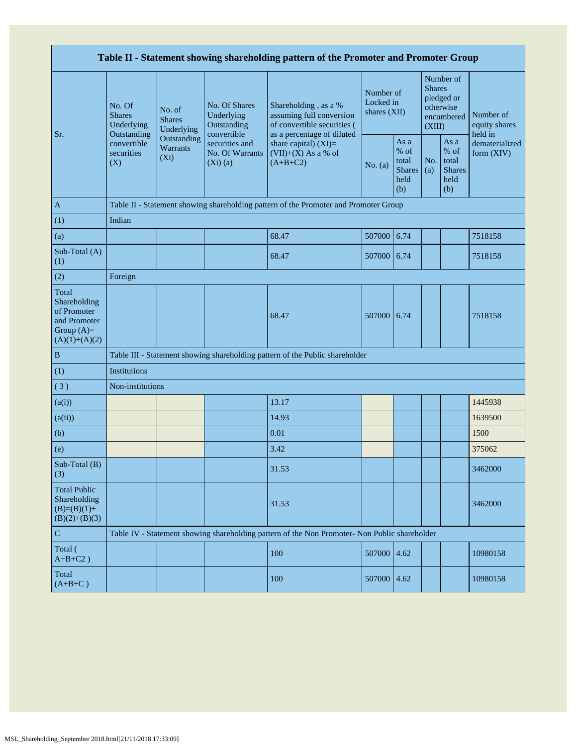| Table II - Statement showing shareholding pattern of the Promoter and Promoter Group    |                                                 |                                           |                                                                       |                                                                                               |                                        |                                                       |                                                                               |                                                       |                                       |  |  |  |
|-----------------------------------------------------------------------------------------|-------------------------------------------------|-------------------------------------------|-----------------------------------------------------------------------|-----------------------------------------------------------------------------------------------|----------------------------------------|-------------------------------------------------------|-------------------------------------------------------------------------------|-------------------------------------------------------|---------------------------------------|--|--|--|
| Sr.                                                                                     | No. Of<br><b>Shares</b><br>Underlying           | No. of<br><b>Shares</b><br>Underlying     | No. Of Shares<br>Underlying<br>Outstanding                            | Shareholding, as a %<br>assuming full conversion<br>of convertible securities (               | Number of<br>Locked in<br>shares (XII) |                                                       | Number of<br><b>Shares</b><br>pledged or<br>otherwise<br>encumbered<br>(XIII) |                                                       | Number of<br>equity shares<br>held in |  |  |  |
|                                                                                         | Outstanding<br>convertible<br>securities<br>(X) | Outstanding<br><b>Warrants</b><br>$(X_i)$ | convertible<br>securities and<br><b>No. Of Warrants</b><br>$(Xi)$ (a) | as a percentage of diluted<br>share capital) $(XI)=$<br>$(VII)+(X)$ As a % of<br>$(A+B+C2)$   | No. (a)                                | As a<br>% of<br>total<br><b>Shares</b><br>held<br>(b) | No.<br>(a)                                                                    | As a<br>% of<br>total<br><b>Shares</b><br>held<br>(b) | dematerialized<br>form (XIV)          |  |  |  |
| A                                                                                       |                                                 |                                           |                                                                       | Table II - Statement showing shareholding pattern of the Promoter and Promoter Group          |                                        |                                                       |                                                                               |                                                       |                                       |  |  |  |
| (1)                                                                                     | Indian                                          |                                           |                                                                       |                                                                                               |                                        |                                                       |                                                                               |                                                       |                                       |  |  |  |
| (a)                                                                                     |                                                 |                                           |                                                                       | 68.47                                                                                         | 507000                                 | 6.74                                                  |                                                                               |                                                       | 7518158                               |  |  |  |
| Sub-Total (A)<br>(1)                                                                    |                                                 |                                           |                                                                       | 68.47                                                                                         | 507000                                 | 6.74                                                  |                                                                               |                                                       | 7518158                               |  |  |  |
| (2)                                                                                     | Foreign                                         |                                           |                                                                       |                                                                                               |                                        |                                                       |                                                                               |                                                       |                                       |  |  |  |
| Total<br>Shareholding<br>of Promoter<br>and Promoter<br>Group $(A)=$<br>$(A)(1)+(A)(2)$ |                                                 |                                           |                                                                       | 68.47                                                                                         | 507000                                 | 6.74                                                  |                                                                               |                                                       | 7518158                               |  |  |  |
| $\, {\bf B}$                                                                            |                                                 |                                           |                                                                       | Table III - Statement showing shareholding pattern of the Public shareholder                  |                                        |                                                       |                                                                               |                                                       |                                       |  |  |  |
| (1)                                                                                     | Institutions                                    |                                           |                                                                       |                                                                                               |                                        |                                                       |                                                                               |                                                       |                                       |  |  |  |
| (3)                                                                                     | Non-institutions                                |                                           |                                                                       |                                                                                               |                                        |                                                       |                                                                               |                                                       |                                       |  |  |  |
| (a(i))                                                                                  |                                                 |                                           |                                                                       | 13.17                                                                                         |                                        |                                                       |                                                                               |                                                       | 1445938                               |  |  |  |
| (a(ii))                                                                                 |                                                 |                                           |                                                                       | 14.93                                                                                         |                                        |                                                       |                                                                               |                                                       | 1639500                               |  |  |  |
| (b)                                                                                     |                                                 |                                           |                                                                       | 0.01                                                                                          |                                        |                                                       |                                                                               |                                                       | 1500                                  |  |  |  |
| (e)                                                                                     |                                                 |                                           |                                                                       | 3.42                                                                                          |                                        |                                                       |                                                                               |                                                       | 375062                                |  |  |  |
| Sub-Total (B)<br>(3)                                                                    |                                                 |                                           |                                                                       | 31.53                                                                                         |                                        |                                                       |                                                                               |                                                       | 3462000                               |  |  |  |
| <b>Total Public</b><br>Shareholding<br>$(B)=(B)(1)+$<br>$(B)(2)+(B)(3)$                 |                                                 |                                           |                                                                       | 31.53                                                                                         |                                        |                                                       |                                                                               |                                                       | 3462000                               |  |  |  |
| $\mathbf C$                                                                             |                                                 |                                           |                                                                       | Table IV - Statement showing shareholding pattern of the Non Promoter- Non Public shareholder |                                        |                                                       |                                                                               |                                                       |                                       |  |  |  |
| Total (<br>$A+B+C2$ )                                                                   |                                                 |                                           |                                                                       | 100                                                                                           | 507000                                 | 4.62                                                  |                                                                               |                                                       | 10980158                              |  |  |  |
| Total<br>$(A+B+C)$                                                                      |                                                 |                                           |                                                                       | 100                                                                                           | 507000                                 | 4.62                                                  |                                                                               |                                                       | 10980158                              |  |  |  |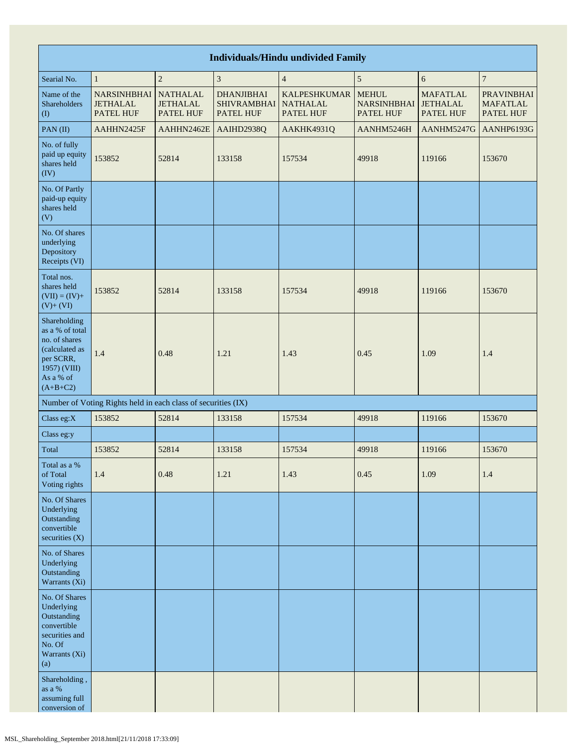|                                                                                                                            | <b>Individuals/Hindu undivided Family</b>                     |                                                        |                                                      |                                                            |                                                 |                                                 |                                                   |  |  |  |  |  |  |
|----------------------------------------------------------------------------------------------------------------------------|---------------------------------------------------------------|--------------------------------------------------------|------------------------------------------------------|------------------------------------------------------------|-------------------------------------------------|-------------------------------------------------|---------------------------------------------------|--|--|--|--|--|--|
| Searial No.                                                                                                                | $\mathbf{1}$                                                  | $\sqrt{2}$                                             | 3                                                    | $\overline{4}$                                             | $\sqrt{5}$                                      | 6                                               | $\boldsymbol{7}$                                  |  |  |  |  |  |  |
| Name of the<br>Shareholders<br>(1)                                                                                         | <b>NARSINHBHAI</b><br><b>JETHALAL</b><br>PATEL HUF            | <b>NATHALAL</b><br><b>JETHALAL</b><br><b>PATEL HUF</b> | <b>DHANJIBHAI</b><br><b>SHIVRAMBHAI</b><br>PATEL HUF | <b>KALPESHKUMAR</b><br><b>NATHALAL</b><br><b>PATEL HUF</b> | <b>MEHUL</b><br><b>NARSINHBHAI</b><br>PATEL HUF | <b>MAFATLAL</b><br><b>JETHALAL</b><br>PATEL HUF | <b>PRAVINBHAI</b><br><b>MAFATLAL</b><br>PATEL HUF |  |  |  |  |  |  |
| PAN(II)                                                                                                                    | AAHHN2425F                                                    | AAHHN2462E                                             | AAIHD2938Q                                           | AAKHK4931Q                                                 | AANHM5246H                                      | AANHM5247G                                      | AANHP6193G                                        |  |  |  |  |  |  |
| No. of fully<br>paid up equity<br>shares held<br>(IV)                                                                      | 153852                                                        | 52814                                                  | 133158                                               | 157534                                                     | 49918                                           | 119166                                          | 153670                                            |  |  |  |  |  |  |
| No. Of Partly<br>paid-up equity<br>shares held<br>(V)                                                                      |                                                               |                                                        |                                                      |                                                            |                                                 |                                                 |                                                   |  |  |  |  |  |  |
| No. Of shares<br>underlying<br>Depository<br>Receipts (VI)                                                                 |                                                               |                                                        |                                                      |                                                            |                                                 |                                                 |                                                   |  |  |  |  |  |  |
| Total nos.<br>shares held<br>$(VII) = (IV) +$<br>$(V)+(VI)$                                                                | 153852                                                        | 52814                                                  | 133158                                               | 157534                                                     | 49918                                           | 119166                                          | 153670                                            |  |  |  |  |  |  |
| Shareholding<br>as a % of total<br>no. of shares<br>(calculated as<br>per SCRR,<br>1957) (VIII)<br>As a % of<br>$(A+B+C2)$ | 1.4                                                           | 0.48                                                   | 1.21                                                 | 1.43                                                       | 0.45                                            | 1.09                                            | 1.4                                               |  |  |  |  |  |  |
|                                                                                                                            | Number of Voting Rights held in each class of securities (IX) |                                                        |                                                      |                                                            |                                                 |                                                 |                                                   |  |  |  |  |  |  |
| Class eg:X                                                                                                                 | 153852                                                        | 52814                                                  | 133158                                               | 157534                                                     | 49918                                           | 119166                                          | 153670                                            |  |  |  |  |  |  |
| Class eg:y                                                                                                                 |                                                               |                                                        |                                                      |                                                            |                                                 |                                                 |                                                   |  |  |  |  |  |  |
| Total                                                                                                                      | 153852                                                        | 52814                                                  | 133158                                               | 157534                                                     | 49918                                           | 119166                                          | 153670                                            |  |  |  |  |  |  |
| Total as a %<br>of Total<br>Voting rights                                                                                  | 1.4                                                           | 0.48                                                   | 1.21                                                 | 1.43                                                       | 0.45                                            | 1.09                                            | 1.4                                               |  |  |  |  |  |  |
| No. Of Shares<br>Underlying<br>Outstanding<br>convertible<br>securities $(X)$                                              |                                                               |                                                        |                                                      |                                                            |                                                 |                                                 |                                                   |  |  |  |  |  |  |
| No. of Shares<br>Underlying<br>Outstanding<br>Warrants (Xi)                                                                |                                                               |                                                        |                                                      |                                                            |                                                 |                                                 |                                                   |  |  |  |  |  |  |
| No. Of Shares<br>Underlying<br>Outstanding<br>convertible<br>securities and<br>No. Of<br>Warrants (Xi)<br>(a)              |                                                               |                                                        |                                                      |                                                            |                                                 |                                                 |                                                   |  |  |  |  |  |  |
| Shareholding,<br>as a $\%$<br>assuming full<br>conversion of                                                               |                                                               |                                                        |                                                      |                                                            |                                                 |                                                 |                                                   |  |  |  |  |  |  |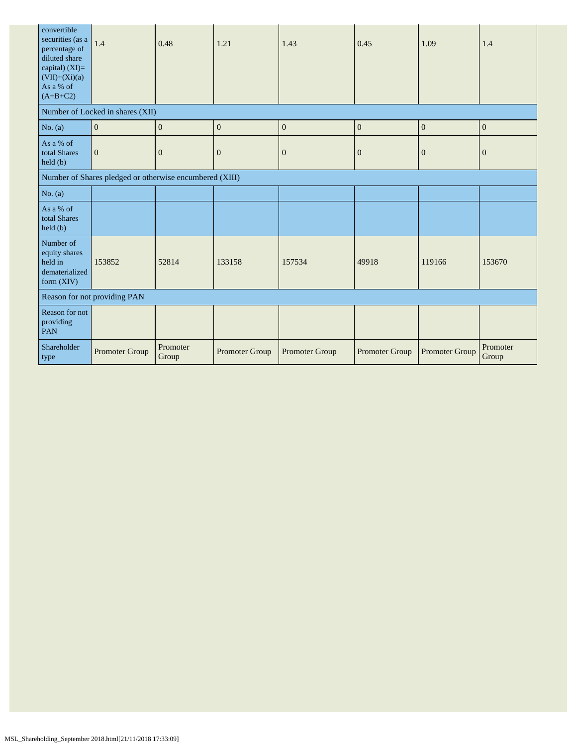| convertible<br>securities (as a<br>percentage of<br>diluted share<br>capital) (XI)=<br>$(VII)+(Xi)(a)$<br>As a % of<br>$(A+B+C2)$ | 1.4                                                     | 0.48              | 1.21             | 1.43           | 0.45             | 1.09                  | 1.4               |
|-----------------------------------------------------------------------------------------------------------------------------------|---------------------------------------------------------|-------------------|------------------|----------------|------------------|-----------------------|-------------------|
|                                                                                                                                   | Number of Locked in shares (XII)                        |                   |                  |                |                  |                       |                   |
| No. $(a)$                                                                                                                         | $\mathbf{0}$                                            | $\mathbf{0}$      | $\boldsymbol{0}$ | $\mathbf{0}$   | $\boldsymbol{0}$ | $\mathbf{0}$          | $\mathbf{0}$      |
| As a % of<br>total Shares<br>held(b)                                                                                              | $\mathbf{0}$                                            | $\overline{0}$    | $\mathbf{0}$     | $\mathbf{0}$   | $\mathbf{0}$     | $\overline{0}$        | $\overline{0}$    |
|                                                                                                                                   | Number of Shares pledged or otherwise encumbered (XIII) |                   |                  |                |                  |                       |                   |
| No. $(a)$                                                                                                                         |                                                         |                   |                  |                |                  |                       |                   |
| As a % of<br>total Shares<br>held(b)                                                                                              |                                                         |                   |                  |                |                  |                       |                   |
| Number of<br>equity shares<br>held in<br>dematerialized<br>form (XIV)                                                             | 153852                                                  | 52814             | 133158           | 157534         | 49918            | 119166                | 153670            |
|                                                                                                                                   | Reason for not providing PAN                            |                   |                  |                |                  |                       |                   |
| Reason for not<br>providing<br>PAN                                                                                                |                                                         |                   |                  |                |                  |                       |                   |
| Shareholder<br>type                                                                                                               | Promoter Group                                          | Promoter<br>Group | Promoter Group   | Promoter Group | Promoter Group   | <b>Promoter Group</b> | Promoter<br>Group |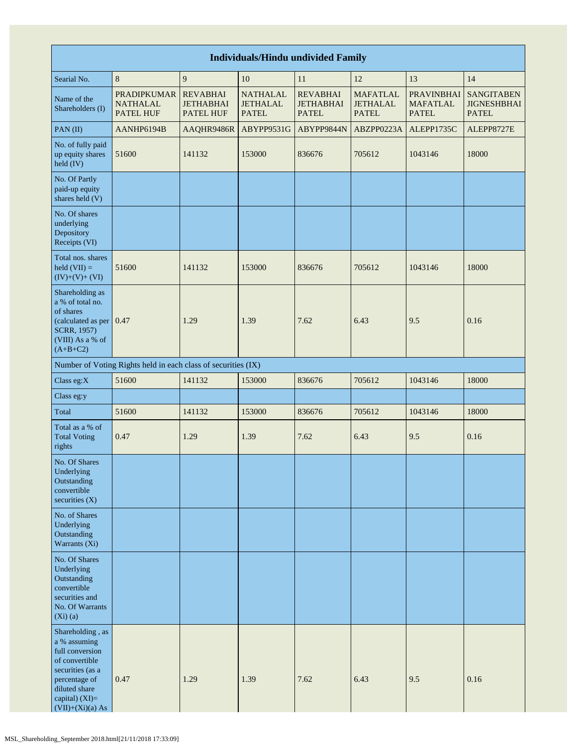| <b>Individuals/Hindu undivided Family</b>                                                                                                                           |                                                               |                                                         |                                                    |                                                     |                                                    |                                                      |                                                         |  |  |  |  |
|---------------------------------------------------------------------------------------------------------------------------------------------------------------------|---------------------------------------------------------------|---------------------------------------------------------|----------------------------------------------------|-----------------------------------------------------|----------------------------------------------------|------------------------------------------------------|---------------------------------------------------------|--|--|--|--|
| Searial No.                                                                                                                                                         | 8                                                             | 9                                                       | 10                                                 | 11                                                  | 12                                                 | 13                                                   | 14                                                      |  |  |  |  |
| Name of the<br>Shareholders (I)                                                                                                                                     | <b>PRADIPKUMAR</b><br><b>NATHALAL</b><br><b>PATEL HUF</b>     | <b>REVABHAI</b><br><b>JETHABHAI</b><br><b>PATEL HUF</b> | <b>NATHALAL</b><br><b>JETHALAL</b><br><b>PATEL</b> | <b>REVABHAI</b><br><b>JETHABHAI</b><br><b>PATEL</b> | <b>MAFATLAL</b><br><b>JETHALAL</b><br><b>PATEL</b> | <b>PRAVINBHAI</b><br><b>MAFATLAL</b><br><b>PATEL</b> | <b>SANGITABEN</b><br><b>JIGNESHBHAI</b><br><b>PATEL</b> |  |  |  |  |
| PAN(II)                                                                                                                                                             | AANHP6194B                                                    | AAQHR9486R                                              | ABYPP9531G                                         | ABYPP9844N                                          | ABZPP0223A                                         | ALEPP1735C                                           | ALEPP8727E                                              |  |  |  |  |
| No. of fully paid<br>up equity shares<br>held (IV)                                                                                                                  | 51600                                                         | 141132                                                  | 153000                                             | 836676                                              | 705612                                             | 1043146                                              | 18000                                                   |  |  |  |  |
| No. Of Partly<br>paid-up equity<br>shares held (V)                                                                                                                  |                                                               |                                                         |                                                    |                                                     |                                                    |                                                      |                                                         |  |  |  |  |
| No. Of shares<br>underlying<br>Depository<br>Receipts (VI)                                                                                                          |                                                               |                                                         |                                                    |                                                     |                                                    |                                                      |                                                         |  |  |  |  |
| Total nos. shares<br>$\text{held (VII)} =$<br>$(IV)+(V)+(VI)$                                                                                                       | 51600                                                         | 141132                                                  | 153000                                             | 836676                                              | 705612                                             | 1043146                                              | 18000                                                   |  |  |  |  |
| Shareholding as<br>a % of total no.<br>of shares<br>(calculated as per 0.47<br>SCRR, 1957)<br>(VIII) As a % of<br>$(A+B+C2)$                                        |                                                               | 1.29                                                    | 1.39                                               | 7.62                                                | 6.43                                               | 9.5                                                  | 0.16                                                    |  |  |  |  |
|                                                                                                                                                                     | Number of Voting Rights held in each class of securities (IX) |                                                         |                                                    |                                                     |                                                    |                                                      |                                                         |  |  |  |  |
| Class eg:X                                                                                                                                                          | 51600                                                         | 141132                                                  | 153000                                             | 836676                                              | 705612                                             | 1043146                                              | 18000                                                   |  |  |  |  |
| Class eg:y                                                                                                                                                          |                                                               |                                                         |                                                    |                                                     |                                                    |                                                      |                                                         |  |  |  |  |
| Total                                                                                                                                                               | 51600                                                         | 141132                                                  | 153000                                             | 836676                                              | 705612                                             | 1043146                                              | 18000                                                   |  |  |  |  |
| Total as a % of<br><b>Total Voting</b><br>rights                                                                                                                    | 0.47                                                          | 1.29                                                    | 1.39                                               | 7.62                                                | 6.43                                               | 9.5                                                  | 0.16                                                    |  |  |  |  |
| No. Of Shares<br>Underlying<br>Outstanding<br>convertible<br>securities $(X)$                                                                                       |                                                               |                                                         |                                                    |                                                     |                                                    |                                                      |                                                         |  |  |  |  |
| No. of Shares<br>Underlying<br>Outstanding<br>Warrants (Xi)                                                                                                         |                                                               |                                                         |                                                    |                                                     |                                                    |                                                      |                                                         |  |  |  |  |
| No. Of Shares<br>Underlying<br>Outstanding<br>convertible<br>securities and<br>No. Of Warrants<br>$(Xi)$ $(a)$                                                      |                                                               |                                                         |                                                    |                                                     |                                                    |                                                      |                                                         |  |  |  |  |
| Shareholding, as<br>a % assuming<br>full conversion<br>of convertible<br>securities (as a<br>percentage of<br>diluted share<br>capital) (XI)=<br>$(VII)+(Xi)(a) As$ | 0.47                                                          | 1.29                                                    | 1.39                                               | 7.62                                                | 6.43                                               | 9.5                                                  | 0.16                                                    |  |  |  |  |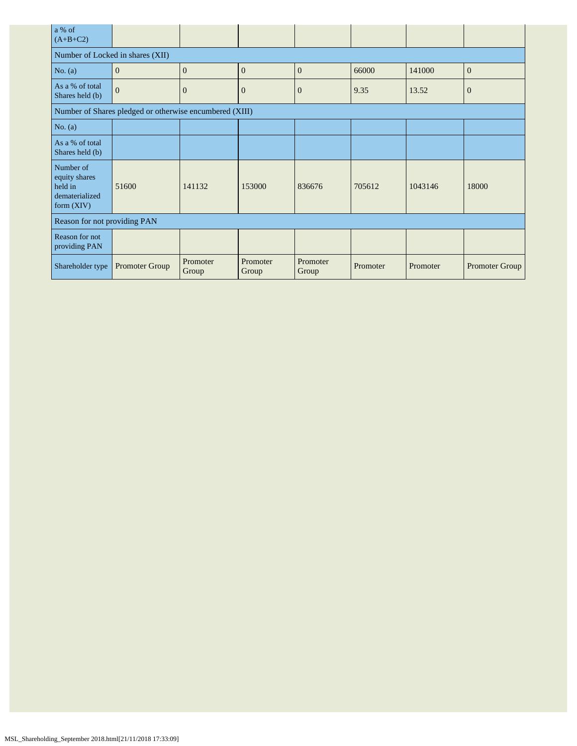| a % of<br>$(A+B+C2)$                                                    |                                                         |                   |                   |                   |          |          |                       |
|-------------------------------------------------------------------------|---------------------------------------------------------|-------------------|-------------------|-------------------|----------|----------|-----------------------|
| Number of Locked in shares (XII)                                        |                                                         |                   |                   |                   |          |          |                       |
| No. $(a)$                                                               | $\mathbf{0}$                                            | $\overline{0}$    | $\mathbf{0}$      | $\mathbf{0}$      | 66000    | 141000   | $\mathbf{0}$          |
| As a % of total<br>Shares held (b)                                      | $\overline{0}$                                          | $\overline{0}$    | $\mathbf{0}$      | $\overline{0}$    | 9.35     | 13.52    | $\mathbf{0}$          |
|                                                                         | Number of Shares pledged or otherwise encumbered (XIII) |                   |                   |                   |          |          |                       |
| No. $(a)$                                                               |                                                         |                   |                   |                   |          |          |                       |
| As a % of total<br>Shares held (b)                                      |                                                         |                   |                   |                   |          |          |                       |
| Number of<br>equity shares<br>held in<br>dematerialized<br>form $(XIV)$ | 51600                                                   | 141132            | 153000            | 836676            | 705612   | 1043146  | 18000                 |
| Reason for not providing PAN                                            |                                                         |                   |                   |                   |          |          |                       |
| Reason for not<br>providing PAN                                         |                                                         |                   |                   |                   |          |          |                       |
| Shareholder type                                                        | Promoter Group                                          | Promoter<br>Group | Promoter<br>Group | Promoter<br>Group | Promoter | Promoter | <b>Promoter Group</b> |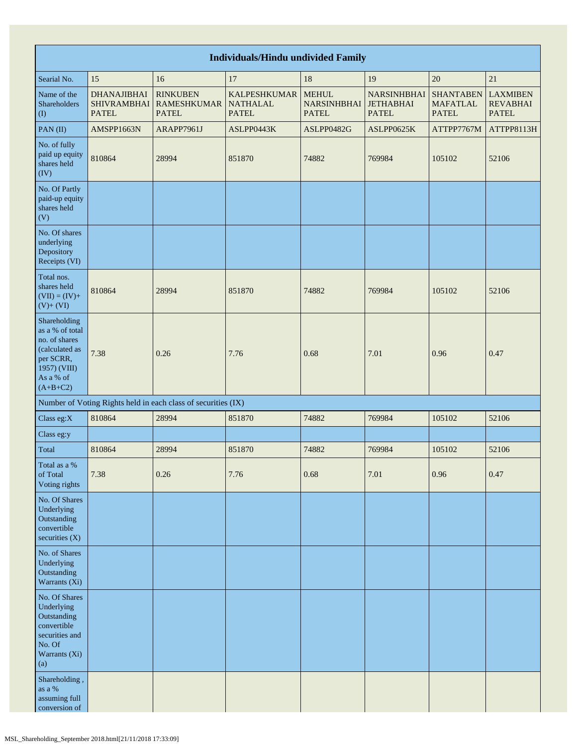|                                                                                                                            | <b>Individuals/Hindu undivided Family</b>                |                                                               |                                                        |                                                    |                                                        |                                                     |                                                    |  |  |  |  |  |  |
|----------------------------------------------------------------------------------------------------------------------------|----------------------------------------------------------|---------------------------------------------------------------|--------------------------------------------------------|----------------------------------------------------|--------------------------------------------------------|-----------------------------------------------------|----------------------------------------------------|--|--|--|--|--|--|
| Searial No.                                                                                                                | 15                                                       | 16                                                            | 17                                                     | 18                                                 | 19                                                     | 20                                                  | 21                                                 |  |  |  |  |  |  |
| Name of the<br><b>Shareholders</b><br>$\left( \mathrm{I}\right)$                                                           | <b>DHANAJIBHAI</b><br><b>SHIVRAMBHAI</b><br><b>PATEL</b> | <b>RINKUBEN</b><br><b>RAMESHKUMAR</b><br><b>PATEL</b>         | <b>KALPESHKUMAR</b><br><b>NATHALAL</b><br><b>PATEL</b> | <b>MEHUL</b><br><b>NARSINHBHAI</b><br><b>PATEL</b> | <b>NARSINHBHAI</b><br><b>JETHABHAI</b><br><b>PATEL</b> | <b>SHANTABEN</b><br><b>MAFATLAL</b><br><b>PATEL</b> | <b>LAXMIBEN</b><br><b>REVABHAI</b><br><b>PATEL</b> |  |  |  |  |  |  |
| PAN(II)                                                                                                                    | AMSPP1663N                                               | ARAPP7961J                                                    | ASLPP0443K                                             | ASLPP0482G                                         | ASLPP0625K                                             | ATTPP7767M                                          | ATTPP8113H                                         |  |  |  |  |  |  |
| No. of fully<br>paid up equity<br>shares held<br>(IV)                                                                      | 810864                                                   | 28994                                                         | 851870                                                 | 74882                                              | 769984                                                 | 105102                                              | 52106                                              |  |  |  |  |  |  |
| No. Of Partly<br>paid-up equity<br>shares held<br>(V)                                                                      |                                                          |                                                               |                                                        |                                                    |                                                        |                                                     |                                                    |  |  |  |  |  |  |
| No. Of shares<br>underlying<br>Depository<br>Receipts (VI)                                                                 |                                                          |                                                               |                                                        |                                                    |                                                        |                                                     |                                                    |  |  |  |  |  |  |
| Total nos.<br>shares held<br>$(VII) = (IV) +$<br>$(V) + (VI)$                                                              | 810864                                                   | 28994                                                         | 851870                                                 | 74882                                              | 769984                                                 | 105102                                              | 52106                                              |  |  |  |  |  |  |
| Shareholding<br>as a % of total<br>no. of shares<br>(calculated as<br>per SCRR,<br>1957) (VIII)<br>As a % of<br>$(A+B+C2)$ | 7.38                                                     | 0.26                                                          | 7.76                                                   | 0.68                                               | 7.01                                                   | 0.96                                                | 0.47                                               |  |  |  |  |  |  |
|                                                                                                                            |                                                          | Number of Voting Rights held in each class of securities (IX) |                                                        |                                                    |                                                        |                                                     |                                                    |  |  |  |  |  |  |
| Class eg:X                                                                                                                 | 810864                                                   | 28994                                                         | 851870                                                 | 74882                                              | 769984                                                 | 105102                                              | 52106                                              |  |  |  |  |  |  |
| Class eg:y                                                                                                                 |                                                          |                                                               |                                                        |                                                    |                                                        |                                                     |                                                    |  |  |  |  |  |  |
| Total                                                                                                                      | 810864                                                   | 28994                                                         | 851870                                                 | 74882                                              | 769984                                                 | 105102                                              | 52106                                              |  |  |  |  |  |  |
| Total as a %<br>of Total<br>Voting rights                                                                                  | 7.38                                                     | 0.26                                                          | 7.76                                                   | 0.68                                               | 7.01                                                   | 0.96                                                | 0.47                                               |  |  |  |  |  |  |
| No. Of Shares<br>Underlying<br>Outstanding<br>convertible<br>securities (X)                                                |                                                          |                                                               |                                                        |                                                    |                                                        |                                                     |                                                    |  |  |  |  |  |  |
| No. of Shares<br>Underlying<br>Outstanding<br>Warrants (Xi)                                                                |                                                          |                                                               |                                                        |                                                    |                                                        |                                                     |                                                    |  |  |  |  |  |  |
| No. Of Shares<br>Underlying<br>Outstanding<br>convertible<br>securities and<br>No. Of<br>Warrants (Xi)<br>(a)              |                                                          |                                                               |                                                        |                                                    |                                                        |                                                     |                                                    |  |  |  |  |  |  |
| Shareholding,<br>as a $\%$<br>assuming full<br>conversion of                                                               |                                                          |                                                               |                                                        |                                                    |                                                        |                                                     |                                                    |  |  |  |  |  |  |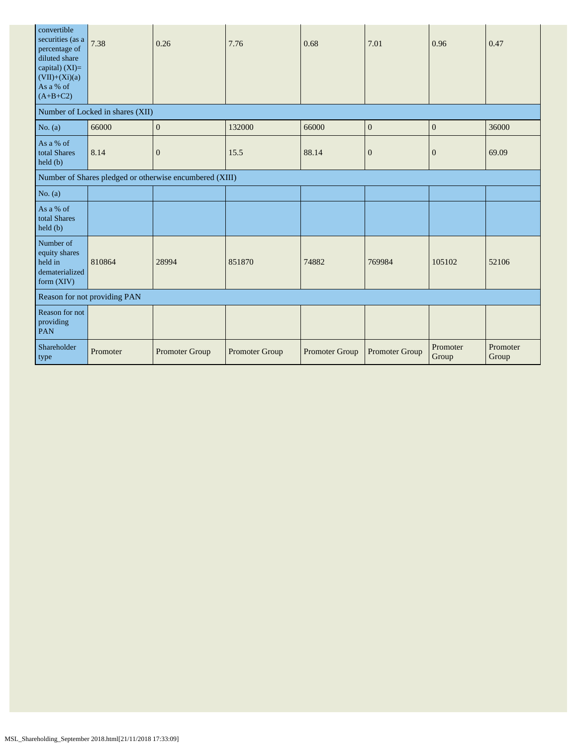| convertible<br>securities (as a<br>percentage of<br>diluted share<br>capital) $(XI)=$<br>$(VII)+(Xi)(a)$<br>As a % of<br>$(A+B+C2)$ | 7.38                             | 0.26                                                    | 7.76           | 0.68           | 7.01           | 0.96              | 0.47              |
|-------------------------------------------------------------------------------------------------------------------------------------|----------------------------------|---------------------------------------------------------|----------------|----------------|----------------|-------------------|-------------------|
|                                                                                                                                     | Number of Locked in shares (XII) |                                                         |                |                |                |                   |                   |
| No. $(a)$                                                                                                                           | 66000                            | $\mathbf{0}$                                            | 132000         | 66000          | $\mathbf{0}$   | $\mathbf{0}$      | 36000             |
| As a % of<br>total Shares<br>held(b)                                                                                                | 8.14                             | $\boldsymbol{0}$                                        | 15.5           | 88.14          | $\mathbf{0}$   | $\mathbf{0}$      | 69.09             |
|                                                                                                                                     |                                  | Number of Shares pledged or otherwise encumbered (XIII) |                |                |                |                   |                   |
| No. $(a)$                                                                                                                           |                                  |                                                         |                |                |                |                   |                   |
| As a % of<br>total Shares<br>$\text{held }(\text{b})$                                                                               |                                  |                                                         |                |                |                |                   |                   |
| Number of<br>equity shares<br>held in<br>dematerialized<br>form (XIV)                                                               | 810864                           | 28994                                                   | 851870         | 74882          | 769984         | 105102            | 52106             |
| Reason for not providing PAN                                                                                                        |                                  |                                                         |                |                |                |                   |                   |
| Reason for not<br>providing<br><b>PAN</b>                                                                                           |                                  |                                                         |                |                |                |                   |                   |
| Shareholder<br>type                                                                                                                 | Promoter                         | Promoter Group                                          | Promoter Group | Promoter Group | Promoter Group | Promoter<br>Group | Promoter<br>Group |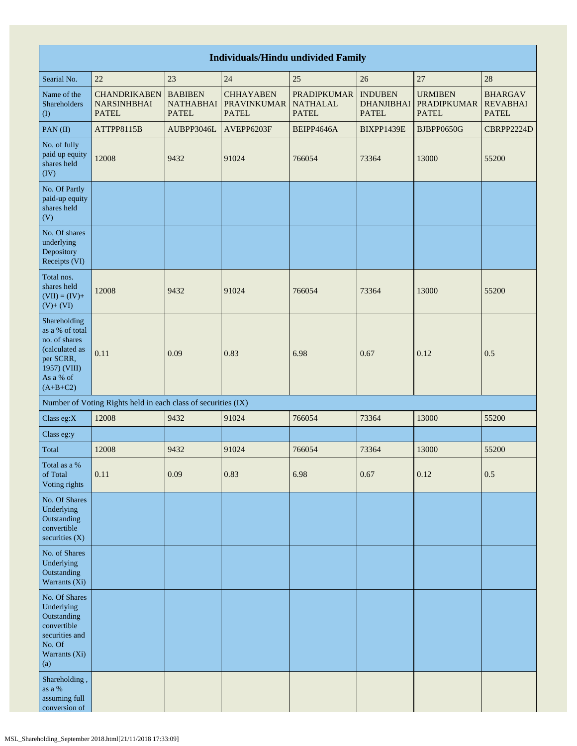|                                                                                                                            | <b>Individuals/Hindu undivided Family</b>                     |                                                    |                                                        |                                                       |                                                     |                                                      |                                                   |  |  |
|----------------------------------------------------------------------------------------------------------------------------|---------------------------------------------------------------|----------------------------------------------------|--------------------------------------------------------|-------------------------------------------------------|-----------------------------------------------------|------------------------------------------------------|---------------------------------------------------|--|--|
| Searial No.                                                                                                                | 22                                                            | 23                                                 | 24                                                     | 25                                                    | 26                                                  | 27                                                   | 28                                                |  |  |
| Name of the<br>Shareholders<br>(1)                                                                                         | <b>CHANDRIKABEN</b><br><b>NARSINHBHAI</b><br><b>PATEL</b>     | <b>BABIBEN</b><br><b>NATHABHAI</b><br><b>PATEL</b> | <b>CHHAYABEN</b><br><b>PRAVINKUMAR</b><br><b>PATEL</b> | <b>PRADIPKUMAR</b><br><b>NATHALAL</b><br><b>PATEL</b> | <b>INDUBEN</b><br><b>DHANJIBHAI</b><br><b>PATEL</b> | <b>URMIBEN</b><br><b>PRADIPKUMAR</b><br><b>PATEL</b> | <b>BHARGAV</b><br><b>REVABHAI</b><br><b>PATEL</b> |  |  |
| PAN(II)                                                                                                                    | ATTPP8115B                                                    | AUBPP3046L                                         | AVEPP6203F                                             | BEIPP4646A                                            | BIXPP1439E                                          | BJBPP0650G                                           | CBRPP2224D                                        |  |  |
| No. of fully<br>paid up equity<br>shares held<br>(IV)                                                                      | 12008                                                         | 9432                                               | 91024                                                  | 766054                                                | 73364                                               | 13000                                                | 55200                                             |  |  |
| No. Of Partly<br>paid-up equity<br>shares held<br>(V)                                                                      |                                                               |                                                    |                                                        |                                                       |                                                     |                                                      |                                                   |  |  |
| No. Of shares<br>underlying<br>Depository<br>Receipts (VI)                                                                 |                                                               |                                                    |                                                        |                                                       |                                                     |                                                      |                                                   |  |  |
| Total nos.<br>shares held<br>$(VII) = (IV) +$<br>$(V) + (VI)$                                                              | 12008                                                         | 9432                                               | 91024                                                  | 766054                                                | 73364                                               | 13000                                                | 55200                                             |  |  |
| Shareholding<br>as a % of total<br>no. of shares<br>(calculated as<br>per SCRR,<br>1957) (VIII)<br>As a % of<br>$(A+B+C2)$ | 0.11                                                          | 0.09                                               | 0.83                                                   | 6.98                                                  | 0.67                                                | 0.12                                                 | 0.5                                               |  |  |
|                                                                                                                            | Number of Voting Rights held in each class of securities (IX) |                                                    |                                                        |                                                       |                                                     |                                                      |                                                   |  |  |
| Class eg:X                                                                                                                 | 12008                                                         | 9432                                               | 91024                                                  | 766054                                                | 73364                                               | 13000                                                | 55200                                             |  |  |
| Class eg:y                                                                                                                 |                                                               |                                                    |                                                        |                                                       |                                                     |                                                      |                                                   |  |  |
| Total                                                                                                                      | 12008                                                         | 9432                                               | 91024                                                  | 766054                                                | 73364                                               | 13000                                                | 55200                                             |  |  |
| Total as a $\%$<br>of Total<br>Voting rights                                                                               | 0.11                                                          | 0.09                                               | 0.83                                                   | 6.98                                                  | 0.67                                                | 0.12                                                 | 0.5                                               |  |  |
| No. Of Shares<br>Underlying<br>Outstanding<br>convertible<br>securities $(X)$                                              |                                                               |                                                    |                                                        |                                                       |                                                     |                                                      |                                                   |  |  |
| No. of Shares<br>Underlying<br>Outstanding<br>Warrants (Xi)                                                                |                                                               |                                                    |                                                        |                                                       |                                                     |                                                      |                                                   |  |  |
| No. Of Shares<br>Underlying<br>Outstanding<br>convertible<br>securities and<br>No. Of<br>Warrants (Xi)<br>(a)              |                                                               |                                                    |                                                        |                                                       |                                                     |                                                      |                                                   |  |  |
| Shareholding,<br>as a $\%$<br>assuming full<br>conversion of                                                               |                                                               |                                                    |                                                        |                                                       |                                                     |                                                      |                                                   |  |  |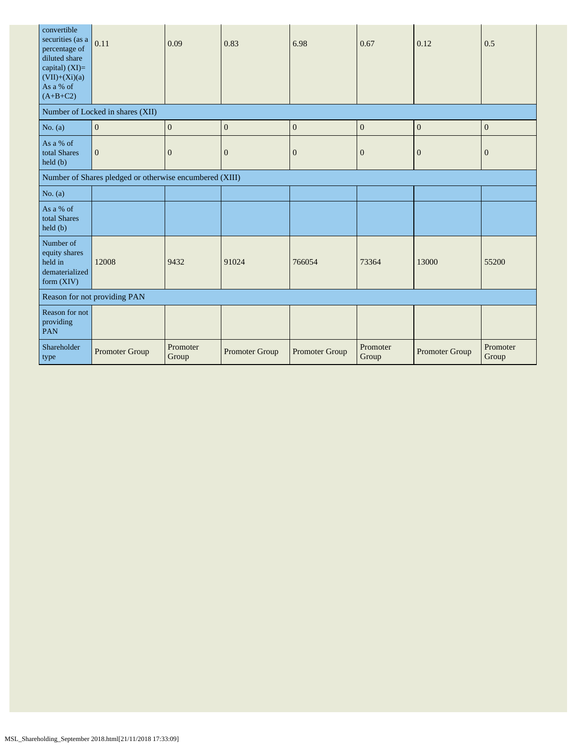| convertible<br>securities (as a<br>percentage of<br>diluted share<br>capital) (XI)=<br>$(VII)+(Xi)(a)$<br>As a % of<br>$(A+B+C2)$ | 0.11                                                    | 0.09              | 0.83                  | 6.98           | 0.67              | 0.12                  | 0.5               |
|-----------------------------------------------------------------------------------------------------------------------------------|---------------------------------------------------------|-------------------|-----------------------|----------------|-------------------|-----------------------|-------------------|
|                                                                                                                                   | Number of Locked in shares (XII)                        |                   |                       |                |                   |                       |                   |
| No. $(a)$                                                                                                                         | $\boldsymbol{0}$                                        | $\mathbf{0}$      | $\boldsymbol{0}$      | $\mathbf{0}$   | $\mathbf{0}$      | $\boldsymbol{0}$      | $\mathbf{0}$      |
| As a % of<br>total Shares<br>held (b)                                                                                             | $\mathbf{0}$                                            | $\overline{0}$    | $\overline{0}$        | $\mathbf{0}$   | $\overline{0}$    | $\overline{0}$        | $\boldsymbol{0}$  |
|                                                                                                                                   | Number of Shares pledged or otherwise encumbered (XIII) |                   |                       |                |                   |                       |                   |
| No. $(a)$                                                                                                                         |                                                         |                   |                       |                |                   |                       |                   |
| As a % of<br>total Shares<br>held (b)                                                                                             |                                                         |                   |                       |                |                   |                       |                   |
| Number of<br>equity shares<br>held in<br>dematerialized<br>form $(XIV)$                                                           | 12008                                                   | 9432              | 91024                 | 766054         | 73364             | 13000                 | 55200             |
| Reason for not providing PAN                                                                                                      |                                                         |                   |                       |                |                   |                       |                   |
| Reason for not<br>providing<br>PAN                                                                                                |                                                         |                   |                       |                |                   |                       |                   |
| Shareholder<br>type                                                                                                               | Promoter Group                                          | Promoter<br>Group | <b>Promoter Group</b> | Promoter Group | Promoter<br>Group | <b>Promoter Group</b> | Promoter<br>Group |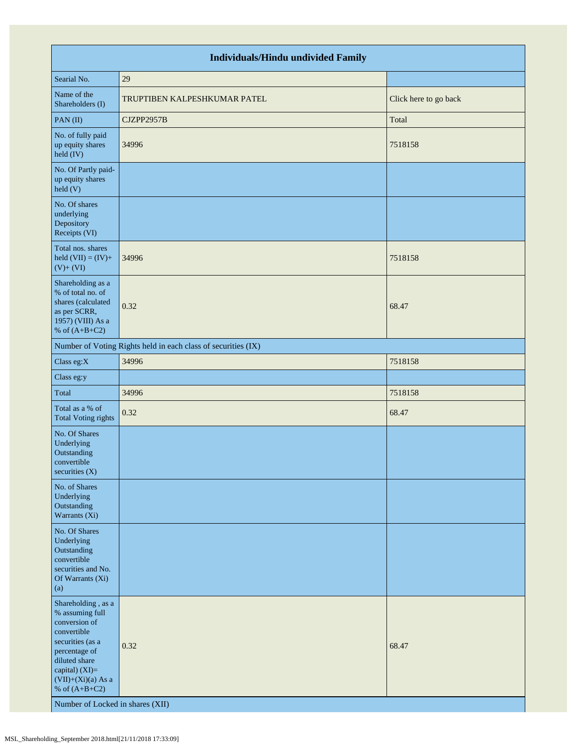| <b>Individuals/Hindu undivided Family</b>                                                                                                                                                                                    |                                                               |                       |  |  |  |  |  |
|------------------------------------------------------------------------------------------------------------------------------------------------------------------------------------------------------------------------------|---------------------------------------------------------------|-----------------------|--|--|--|--|--|
| Searial No.                                                                                                                                                                                                                  | 29                                                            |                       |  |  |  |  |  |
| Name of the<br>Shareholders (I)                                                                                                                                                                                              | TRUPTIBEN KALPESHKUMAR PATEL                                  | Click here to go back |  |  |  |  |  |
| PAN(II)                                                                                                                                                                                                                      | CJZPP2957B                                                    | Total                 |  |  |  |  |  |
| No. of fully paid<br>up equity shares<br>held (IV)                                                                                                                                                                           | 34996                                                         | 7518158               |  |  |  |  |  |
| No. Of Partly paid-<br>up equity shares<br>held (V)                                                                                                                                                                          |                                                               |                       |  |  |  |  |  |
| No. Of shares<br>underlying<br>Depository<br>Receipts (VI)                                                                                                                                                                   |                                                               |                       |  |  |  |  |  |
| Total nos. shares<br>held $(VII) = (IV) +$<br>$(V) + (VI)$                                                                                                                                                                   | 34996                                                         | 7518158               |  |  |  |  |  |
| Shareholding as a<br>% of total no. of<br>shares (calculated<br>as per SCRR,<br>1957) (VIII) As a<br>% of $(A+B+C2)$                                                                                                         | 0.32                                                          | 68.47                 |  |  |  |  |  |
|                                                                                                                                                                                                                              | Number of Voting Rights held in each class of securities (IX) |                       |  |  |  |  |  |
| Class eg:X                                                                                                                                                                                                                   | 34996                                                         | 7518158               |  |  |  |  |  |
| Class eg:y                                                                                                                                                                                                                   |                                                               |                       |  |  |  |  |  |
| Total                                                                                                                                                                                                                        | 34996                                                         | 7518158               |  |  |  |  |  |
| Total as a % of<br><b>Total Voting rights</b>                                                                                                                                                                                | 0.32                                                          | 68.47                 |  |  |  |  |  |
| No. Of Shares<br>Underlying<br>Outstanding<br>convertible<br>securities (X)                                                                                                                                                  |                                                               |                       |  |  |  |  |  |
| No. of Shares<br>Underlying<br>Outstanding<br>Warrants (Xi)                                                                                                                                                                  |                                                               |                       |  |  |  |  |  |
| No. Of Shares<br>Underlying<br>Outstanding<br>convertible<br>securities and No.<br>Of Warrants (Xi)<br>(a)                                                                                                                   |                                                               |                       |  |  |  |  |  |
| Shareholding, as a<br>% assuming full<br>conversion of<br>convertible<br>securities (as a<br>percentage of<br>diluted share<br>capital) (XI)=<br>$(VII)+(Xi)(a)$ As a<br>% of $(A+B+C2)$<br>Number of Locked in shares (XII) | 0.32                                                          | 68.47                 |  |  |  |  |  |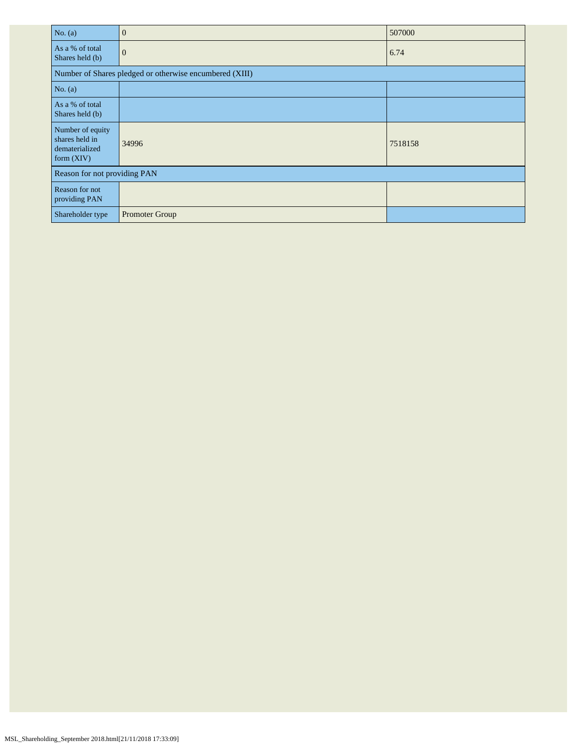| No. $(a)$                                                            | $\overline{0}$                                          | 507000  |  |  |  |  |
|----------------------------------------------------------------------|---------------------------------------------------------|---------|--|--|--|--|
| As a % of total<br>Shares held (b)                                   | $\mathbf{0}$                                            | 6.74    |  |  |  |  |
|                                                                      | Number of Shares pledged or otherwise encumbered (XIII) |         |  |  |  |  |
| No. $(a)$                                                            |                                                         |         |  |  |  |  |
| As a % of total<br>Shares held (b)                                   |                                                         |         |  |  |  |  |
| Number of equity<br>shares held in<br>dematerialized<br>form $(XIV)$ | 34996                                                   | 7518158 |  |  |  |  |
| Reason for not providing PAN                                         |                                                         |         |  |  |  |  |
| Reason for not<br>providing PAN                                      |                                                         |         |  |  |  |  |
| Shareholder type                                                     | <b>Promoter Group</b>                                   |         |  |  |  |  |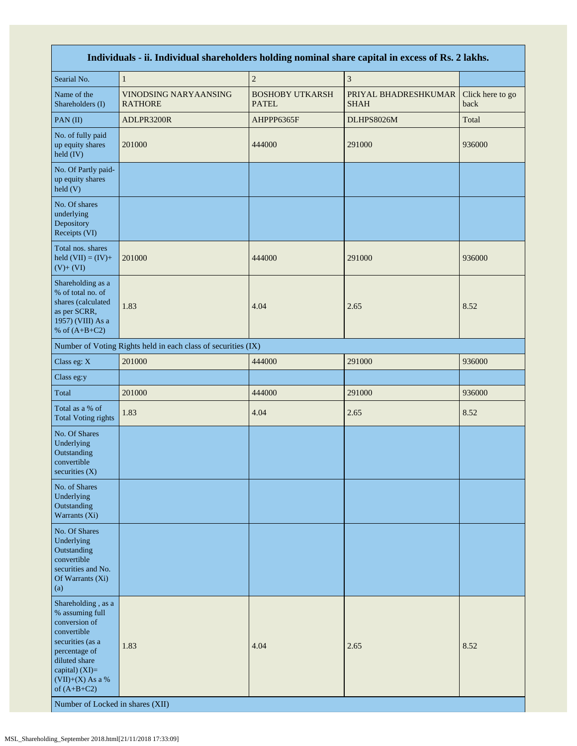| Individuals - ii. Individual shareholders holding nominal share capital in excess of Rs. 2 lakhs.                                                                                                                        |                                                               |                                        |                                     |                          |  |  |  |  |
|--------------------------------------------------------------------------------------------------------------------------------------------------------------------------------------------------------------------------|---------------------------------------------------------------|----------------------------------------|-------------------------------------|--------------------------|--|--|--|--|
| Searial No.                                                                                                                                                                                                              | $\mathbf{1}$                                                  | $\sqrt{2}$                             | $\mathfrak z$                       |                          |  |  |  |  |
| Name of the<br>Shareholders (I)                                                                                                                                                                                          | VINODSING NARYAANSING<br><b>RATHORE</b>                       | <b>BOSHOBY UTKARSH</b><br><b>PATEL</b> | PRIYAL BHADRESHKUMAR<br><b>SHAH</b> | Click here to go<br>back |  |  |  |  |
| PAN(II)                                                                                                                                                                                                                  | ADLPR3200R                                                    | AHPPP6365F                             | DLHPS8026M                          | Total                    |  |  |  |  |
| No. of fully paid<br>up equity shares<br>held (IV)                                                                                                                                                                       | 201000                                                        | 444000                                 | 291000                              | 936000                   |  |  |  |  |
| No. Of Partly paid-<br>up equity shares<br>held(V)                                                                                                                                                                       |                                                               |                                        |                                     |                          |  |  |  |  |
| No. Of shares<br>underlying<br>Depository<br>Receipts (VI)                                                                                                                                                               |                                                               |                                        |                                     |                          |  |  |  |  |
| Total nos. shares<br>held $(VII) = (IV) +$<br>$(V)+(VI)$                                                                                                                                                                 | 201000                                                        | 444000                                 | 291000                              | 936000                   |  |  |  |  |
| Shareholding as a<br>% of total no. of<br>shares (calculated<br>as per SCRR,<br>1957) (VIII) As a<br>% of $(A+B+C2)$                                                                                                     | 1.83                                                          | 4.04                                   | 2.65                                | 8.52                     |  |  |  |  |
|                                                                                                                                                                                                                          | Number of Voting Rights held in each class of securities (IX) |                                        |                                     |                          |  |  |  |  |
| Class eg: X                                                                                                                                                                                                              | 201000                                                        | 444000                                 | 291000                              | 936000                   |  |  |  |  |
| Class eg:y                                                                                                                                                                                                               |                                                               |                                        |                                     |                          |  |  |  |  |
| Total                                                                                                                                                                                                                    | 201000                                                        | 444000                                 | 291000                              | 936000                   |  |  |  |  |
| Total as a % of<br><b>Total Voting rights</b>                                                                                                                                                                            | 1.83                                                          | 4.04                                   | 2.65                                | 8.52                     |  |  |  |  |
| No. Of Shares<br>Underlying<br>Outstanding<br>convertible<br>securities (X)                                                                                                                                              |                                                               |                                        |                                     |                          |  |  |  |  |
| No. of Shares<br>Underlying<br>Outstanding<br>Warrants (Xi)                                                                                                                                                              |                                                               |                                        |                                     |                          |  |  |  |  |
| No. Of Shares<br>Underlying<br>Outstanding<br>convertible<br>securities and No.<br>Of Warrants (Xi)<br>(a)                                                                                                               |                                                               |                                        |                                     |                          |  |  |  |  |
| Shareholding, as a<br>% assuming full<br>conversion of<br>convertible<br>securities (as a<br>percentage of<br>diluted share<br>capital) (XI)=<br>$(VII)+(X)$ As a %<br>of $(A+B+C2)$<br>Number of Locked in shares (XII) | 1.83                                                          | 4.04                                   | 2.65                                | 8.52                     |  |  |  |  |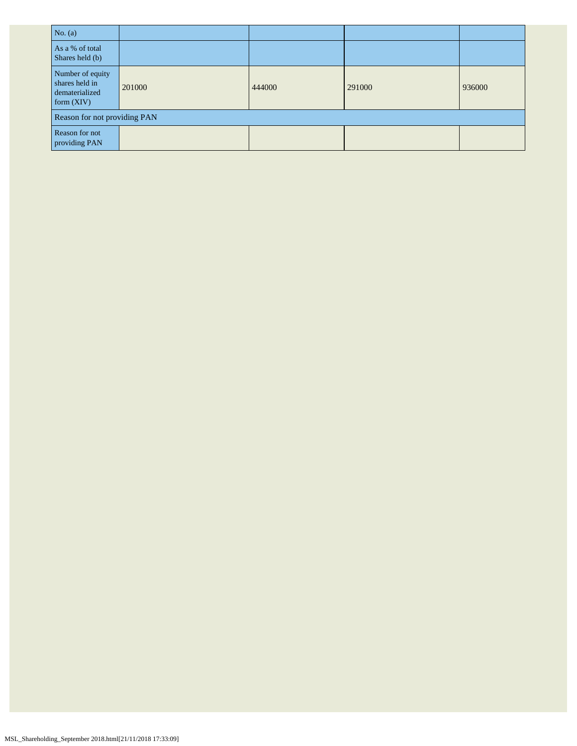| No. $(a)$                                                          |        |        |        |        |  |  |  |
|--------------------------------------------------------------------|--------|--------|--------|--------|--|--|--|
| As a % of total<br>Shares held (b)                                 |        |        |        |        |  |  |  |
| Number of equity<br>shares held in<br>dematerialized<br>form (XIV) | 201000 | 444000 | 291000 | 936000 |  |  |  |
| Reason for not providing PAN                                       |        |        |        |        |  |  |  |
| <b>Reason</b> for not<br>providing PAN                             |        |        |        |        |  |  |  |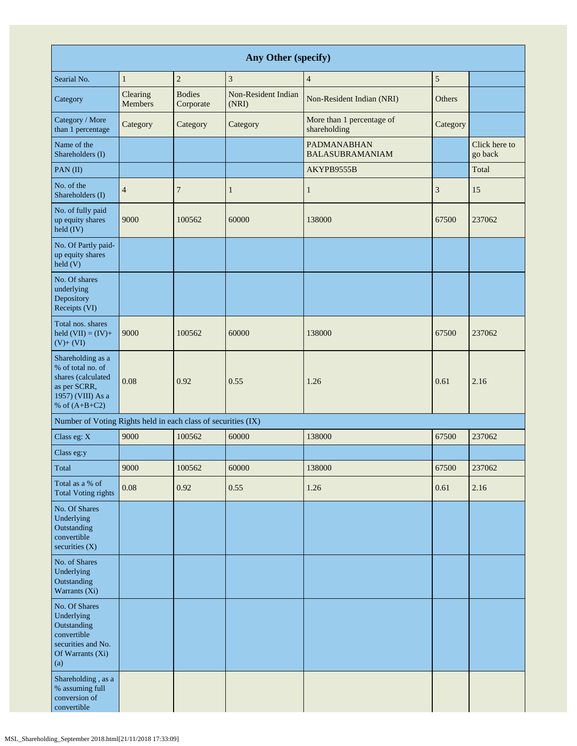| Any Other (specify)                                                                                                  |                     |                            |                              |                                              |          |                          |  |
|----------------------------------------------------------------------------------------------------------------------|---------------------|----------------------------|------------------------------|----------------------------------------------|----------|--------------------------|--|
| Searial No.                                                                                                          | $\mathbf{1}$        | $\overline{c}$             | 3                            | $\overline{4}$                               | 5        |                          |  |
| Category                                                                                                             | Clearing<br>Members | <b>Bodies</b><br>Corporate | Non-Resident Indian<br>(NRI) | Non-Resident Indian (NRI)                    | Others   |                          |  |
| Category / More<br>than 1 percentage                                                                                 | Category            | Category                   | Category                     | More than 1 percentage of<br>shareholding    | Category |                          |  |
| Name of the<br>Shareholders (I)                                                                                      |                     |                            |                              | <b>PADMANABHAN</b><br><b>BALASUBRAMANIAM</b> |          | Click here to<br>go back |  |
| PAN(II)                                                                                                              |                     |                            |                              | AKYPB9555B                                   |          | Total                    |  |
| No. of the<br>Shareholders (I)                                                                                       | $\overline{4}$      | 7                          | $\mathbf{1}$                 | 1                                            | 3        | 15                       |  |
| No. of fully paid<br>up equity shares<br>held (IV)                                                                   | 9000                | 100562                     | 60000                        | 138000                                       | 67500    | 237062                   |  |
| No. Of Partly paid-<br>up equity shares<br>$\text{held}$ (V)                                                         |                     |                            |                              |                                              |          |                          |  |
| No. Of shares<br>underlying<br>Depository<br>Receipts (VI)                                                           |                     |                            |                              |                                              |          |                          |  |
| Total nos. shares<br>held $(VII) = (IV) +$<br>$(V) + (VI)$                                                           | 9000                | 100562                     | 60000                        | 138000                                       | 67500    | 237062                   |  |
| Shareholding as a<br>% of total no. of<br>shares (calculated<br>as per SCRR,<br>1957) (VIII) As a<br>% of $(A+B+C2)$ | 0.08                | 0.92                       | 0.55                         | 1.26                                         | 0.61     | 2.16                     |  |
| Number of Voting Rights held in each class of securities (IX)                                                        |                     |                            |                              |                                              |          |                          |  |
| Class eg: X                                                                                                          | 9000                | 100562                     | 60000                        | 138000                                       | 67500    | 237062                   |  |
| Class eg:y                                                                                                           |                     |                            |                              |                                              |          |                          |  |
| Total                                                                                                                | 9000                | 100562                     | 60000                        | 138000                                       | 67500    | 237062                   |  |
| Total as a % of<br><b>Total Voting rights</b>                                                                        | 0.08                | 0.92                       | 0.55                         | 1.26                                         | 0.61     | 2.16                     |  |
| No. Of Shares<br>Underlying<br>Outstanding<br>convertible<br>securities $(X)$                                        |                     |                            |                              |                                              |          |                          |  |
| No. of Shares<br>Underlying<br>Outstanding<br>Warrants (Xi)                                                          |                     |                            |                              |                                              |          |                          |  |
| No. Of Shares<br>Underlying<br>Outstanding<br>convertible<br>securities and No.<br>Of Warrants (Xi)<br>(a)           |                     |                            |                              |                                              |          |                          |  |
| Shareholding, as a<br>% assuming full<br>conversion of<br>convertible                                                |                     |                            |                              |                                              |          |                          |  |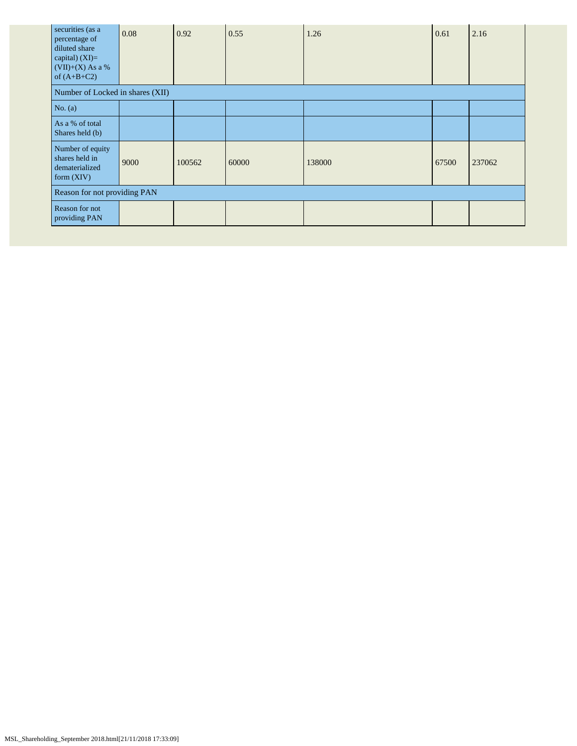| securities (as a<br>percentage of<br>diluted share<br>capital) $(XI)=$<br>$(VII)+(X)$ As a %<br>of $(A+B+C2)$ | 0.08 | 0.92   | 0.55  | 1.26   | 0.61  | 2.16   |
|---------------------------------------------------------------------------------------------------------------|------|--------|-------|--------|-------|--------|
| Number of Locked in shares (XII)                                                                              |      |        |       |        |       |        |
| No. $(a)$                                                                                                     |      |        |       |        |       |        |
| As a % of total<br>Shares held (b)                                                                            |      |        |       |        |       |        |
| Number of equity<br>shares held in<br>dematerialized<br>form $(XIV)$                                          | 9000 | 100562 | 60000 | 138000 | 67500 | 237062 |
| Reason for not providing PAN                                                                                  |      |        |       |        |       |        |
| Reason for not<br>providing PAN                                                                               |      |        |       |        |       |        |